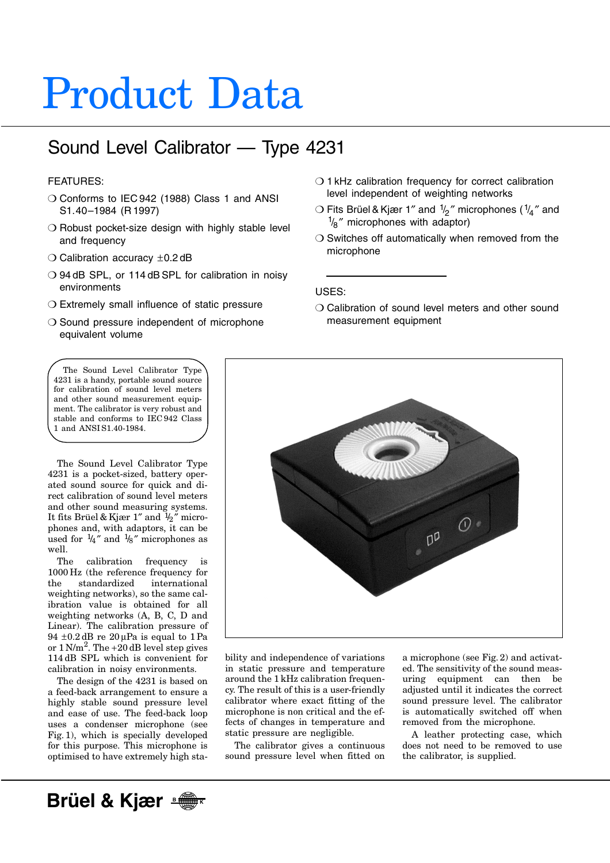# Product Data

## Sound Level Calibrator — Type 4231

#### FEATURES:

- O Conforms to IEC 942 (1988) Class 1 and ANSI S1.40–1984 (R 1997)
- ❍ Robust pocket-size design with highly stable level and frequency
- $\bigcirc$  Calibration accuracy  $\pm$ 0.2 dB
- ❍ 94 dB SPL, or 114 dB SPL for calibration in noisy environments
- ❍ Extremely small influence of static pressure
- ❍ Sound pressure independent of microphone equivalent volume
- ❍ 1 kHz calibration frequency for correct calibration level independent of weighting networks
- $\bigcirc$  Fits Brüel & Kjær 1" and  $\frac{1}{2}$ " microphones ( $\frac{1}{4}$ " and  $\frac{1}{8}$ " microphones with adaptor)
- ❍ Switches off automatically when removed from the microphone

#### USES:

❍ Calibration of sound level meters and other sound measurement equipment

The Sound Level Calibrator Type 4231 is a handy, portable sound source for calibration of sound level meters and other sound measurement equipment. The calibrator is very robust and stable and conforms to IEC 942 Class 1 and ANSI S1.40-1984.

The Sound Level Calibrator Type 4231 is a pocket-sized, battery operated sound source for quick and direct calibration of sound level meters and other sound measuring systems. It fits Brüel & Kjær 1" and  $\frac{1}{2}$ " microphones and, with adaptors, it can be used for  $\frac{1}{4}$ " and  $\frac{1}{8}$ " microphones as well.

The calibration frequency is 1000 Hz (the reference frequency for the standardized international weighting networks), so the same calibration value is obtained for all weighting networks (A, B, C, D and Linear). The calibration pressure of  $94 \pm 0.2$  dB re  $20 \mu$ Pa is equal to 1 Pa or  $1 \text{ N/m}^2$ . The  $+20 \text{ dB}$  level step gives 114 dB SPL which is convenient for calibration in noisy environments.

The design of the 4231 is based on a feed-back arrangement to ensure a highly stable sound pressure level and ease of use. The feed-back loop uses a condenser microphone (see Fig. 1), which is specially developed for this purpose. This microphone is optimised to have extremely high sta-



bility and independence of variations in static pressure and temperature around the 1 kHz calibration frequency. The result of this is a user-friendly calibrator where exact fitting of the microphone is non critical and the effects of changes in temperature and static pressure are negligible.

The calibrator gives a continuous sound pressure level when fitted on a microphone (see Fig. 2) and activated. The sensitivity of the sound measuring equipment can then be adjusted until it indicates the correct sound pressure level. The calibrator is automatically switched off when removed from the microphone.

A leather protecting case, which does not need to be removed to use the calibrator, is supplied.

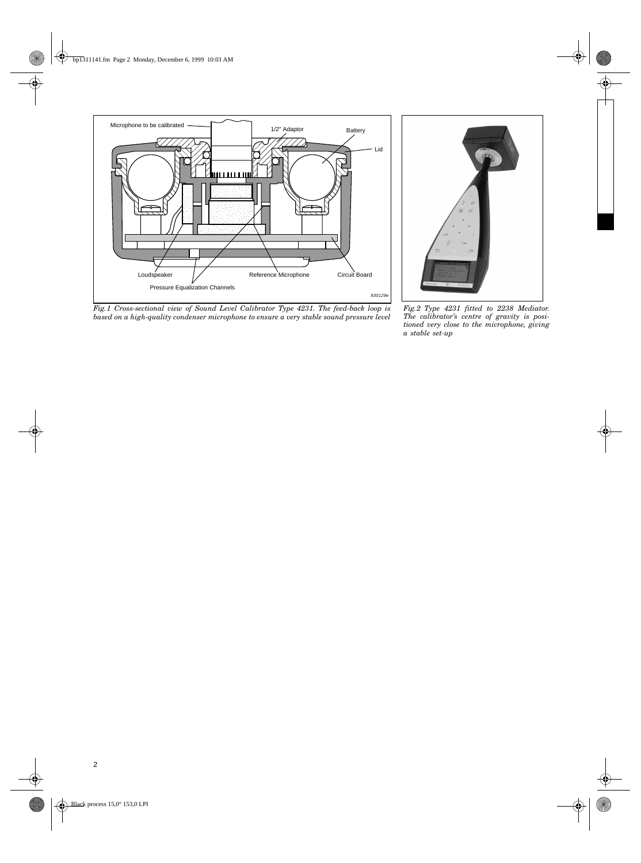

*Fig.1 Cross-sectional view of Sound Level Calibrator Type 4231. The feed-back loop is based on a high-quality condenser microphone to ensure a very stable sound pressure level*



*Fig.2 Type 4231 fitted to 2238 Mediator. The calibrator's centre of gravity is positioned very close to the microphone, giving a stable set-up*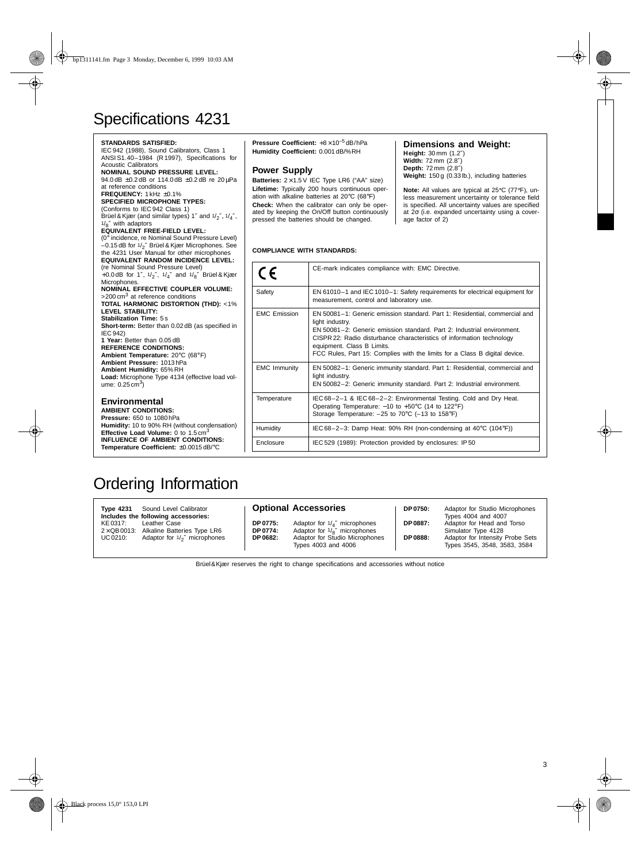## Specifications 4231

| <b>STANDARDS SATISFIED:</b><br>IEC 942 (1988), Sound Calibrators, Class 1<br>ANSI S1.40-1984 (R 1997), Specifications for<br><b>Acoustic Calibrators</b><br><b>NOMINAL SOUND PRESSURE LEVEL:</b><br>94.0 dB ±0.2 dB or 114.0 dB ±0.2 dB re 20 µPa<br>at reference conditions<br>FREQUENCY: 1 kHz ±0.1%<br><b>SPECIFIED MICROPHONE TYPES:</b><br>(Conforms to IEC 942 Class 1)<br>Brüel & Kjær (and similar types) 1" and $1/2$ ", $1/4$ ",<br>$1\frac{1}{2}$ with adaptors<br>EQUIVALENT FREE-FIELD LEVEL:<br>(0° incidence, re Nominal Sound Pressure Level)<br>$-0.15$ dB for $1/\gamma''$ Brüel & Kjær Microphones. See<br>the 4231 User Manual for other microphones<br><b>EQUIVALENT RANDOM INCIDENCE LEVEL:</b> | <b>Pressure Coefficient:</b> $+8 \times 10^{-5}$ dB/hPa<br>Humidity Coefficient: 0.001 dB/%RH<br><b>Power Supply</b><br>Batteries: $2 \times 1.5$ V IEC Type LR6 ("AA" size)<br>Lifetime: Typically 200 hours continuous oper-<br>ation with alkaline batteries at 20°C (68°F)<br>Check: When the calibrator can only be oper-<br>ated by keeping the On/Off button continuously<br>pressed the batteries should be changed.<br><b>COMPLIANCE WITH STANDARDS:</b> |                                                                                                                                                             |
|-----------------------------------------------------------------------------------------------------------------------------------------------------------------------------------------------------------------------------------------------------------------------------------------------------------------------------------------------------------------------------------------------------------------------------------------------------------------------------------------------------------------------------------------------------------------------------------------------------------------------------------------------------------------------------------------------------------------------|-------------------------------------------------------------------------------------------------------------------------------------------------------------------------------------------------------------------------------------------------------------------------------------------------------------------------------------------------------------------------------------------------------------------------------------------------------------------|-------------------------------------------------------------------------------------------------------------------------------------------------------------|
| (re Nominal Sound Pressure Level)<br>+0.0 dB for 1", $1/\frac{1}{2}$ ", $1/\frac{1}{4}$ " and $1/\frac{1}{8}$ " Brüel & Kjær<br>Microphones.                                                                                                                                                                                                                                                                                                                                                                                                                                                                                                                                                                          | CE                                                                                                                                                                                                                                                                                                                                                                                                                                                                | CE-mark indicates complia                                                                                                                                   |
| NOMINAL EFFECTIVE COUPLER VOLUME:<br>>200 cm <sup>3</sup> at reference conditions<br><b>TOTAL HARMONIC DISTORTION (THD): &lt;1%</b>                                                                                                                                                                                                                                                                                                                                                                                                                                                                                                                                                                                   | Safety                                                                                                                                                                                                                                                                                                                                                                                                                                                            | EN 61010-1 and IEC 1010<br>measurement, control and                                                                                                         |
| <b>LEVEL STABILITY:</b><br><b>Stabilization Time: 5s</b><br>Short-term: Better than 0.02 dB (as specified in<br><b>IEC 942)</b><br>1 Year: Better than 0.05 dB<br><b>REFERENCE CONDITIONS:</b><br>Ambient Temperature: 20°C (68°F)                                                                                                                                                                                                                                                                                                                                                                                                                                                                                    | <b>EMC Emission</b>                                                                                                                                                                                                                                                                                                                                                                                                                                               | EN 50081-1: Generic emis<br>light industry.<br>EN 50081-2: Generic emi<br>CISPR 22: Radio disturbar<br>equipment. Class B Limits<br>FCC Rules, Part 15: Com |
| Ambient Pressure: 1013hPa<br>Ambient Humidity: 65% RH<br>Load: Microphone Type 4134 (effective load vol-<br>ume: $0.25 \text{ cm}^3$ )                                                                                                                                                                                                                                                                                                                                                                                                                                                                                                                                                                                | <b>EMC Immunity</b>                                                                                                                                                                                                                                                                                                                                                                                                                                               | EN 50082-1: Generic imm<br>light industry.<br>EN 50082-2: Generic imm                                                                                       |
| <b>Environmental</b><br><b>AMBIENT CONDITIONS:</b><br>Pressure: 650 to 1080 hPa                                                                                                                                                                                                                                                                                                                                                                                                                                                                                                                                                                                                                                       | Temperature                                                                                                                                                                                                                                                                                                                                                                                                                                                       | IEC 68-2-1 & IEC 68-2-<br>Operating Temperature: -<br>Storage Temperature: -25                                                                              |
| Humidity: 10 to 90% RH (without condensation)<br><b>Effective Load Volume:</b> 0 to $1.5 \text{ cm}^3$                                                                                                                                                                                                                                                                                                                                                                                                                                                                                                                                                                                                                | Humidity                                                                                                                                                                                                                                                                                                                                                                                                                                                          | IEC 68-2-3: Damp Heat:                                                                                                                                      |
| <b>INFLUENCE OF AMBIENT CONDITIONS:</b><br>Temperature Coefficient: ±0.0015dB/°C                                                                                                                                                                                                                                                                                                                                                                                                                                                                                                                                                                                                                                      | Enclosure                                                                                                                                                                                                                                                                                                                                                                                                                                                         | IEC 529 (1989): Protection                                                                                                                                  |

#### **Dimensions and Weight:**

**Height:** 30 mm (1.2″) **Width:** 72 mm (2.8″) **Depth:** 72 mm (2.8″) **Weight:** 150 g (0.33 lb.), including batteries

**Note:** All values are typical at 25°C (77°F), un-less measurement uncertainty or tolerance field is specified. All uncertainty values are specified at 2σ (i.e. expanded uncertainty using a coverage factor of 2)

| CE                  | CE-mark indicates compliance with: EMC Directive.                                                                                                                                                                                                                                                                                                            |  |
|---------------------|--------------------------------------------------------------------------------------------------------------------------------------------------------------------------------------------------------------------------------------------------------------------------------------------------------------------------------------------------------------|--|
| Safety              | EN 61010-1 and IEC 1010-1: Safety requirements for electrical equipment for<br>measurement, control and laboratory use.                                                                                                                                                                                                                                      |  |
| <b>FMC Emission</b> | EN 50081-1: Generic emission standard. Part 1: Residential, commercial and<br>light industry.<br>EN 50081-2: Generic emission standard. Part 2: Industrial environment.<br>CISPR 22: Radio disturbance characteristics of information technology<br>equipment. Class B Limits.<br>FCC Rules, Part 15: Complies with the limits for a Class B digital device. |  |
| <b>EMC Immunity</b> | EN 50082-1: Generic immunity standard. Part 1: Residential, commercial and<br>light industry.<br>EN 50082-2: Generic immunity standard. Part 2: Industrial environment.                                                                                                                                                                                      |  |
| Temperature         | IEC 68-2-1 & IEC 68-2-2: Environmental Testing. Cold and Dry Heat.<br>Operating Temperature: $-10$ to $+50^{\circ}$ C (14 to 122°F)<br>Storage Temperature: $-25$ to $70^{\circ}$ C ( $-13$ to $158^{\circ}$ F)                                                                                                                                              |  |
| Humidity            | IEC 68-2-3: Damp Heat: 90% RH (non-condensing at 40°C (104°F))                                                                                                                                                                                                                                                                                               |  |
| Enclosure           | IEC 529 (1989): Protection provided by enclosures: IP 50                                                                                                                                                                                                                                                                                                     |  |

### Ordering Information

**Type 4231** Sound Level Calibrator **Includes the following accessories:** Leather Case  $2 \times QB 0013$ : Alkaline Batteries Type LR6<br>UC 0210: Adaptor for  $1/2''$  microphones Adaptor for  $1/2$ " microphones **Optional Accessories DP 0775:** Adaptor for 1/4″ microphones **DP 0774:** Adaptor for 1/8″ microphones **DP 0682:** Adaptor for Studio Microphones Types 4003 and 4006 **DP 0750:** Adaptor for Studio Microphones Types 4004 and 4007 **DP 0887:** Adaptor for Head and Torso Simulator Type 4128 **DP 0888:** Adaptor for Intensity Probe Sets Types 3545, 3548, 3583, 3584

Brüel&Kjær reserves the right to change specifications and accessories without notice